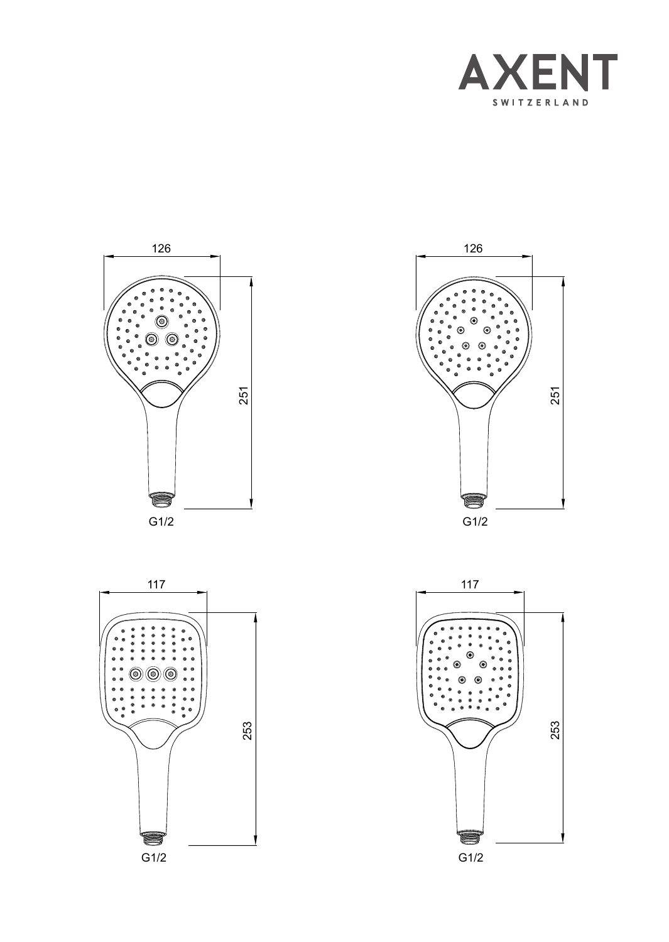







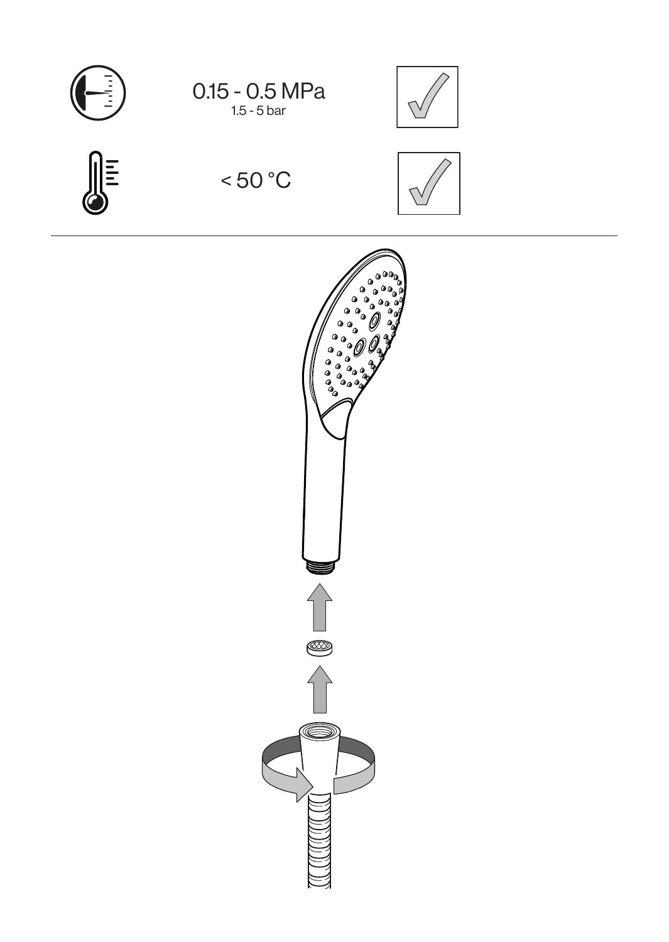











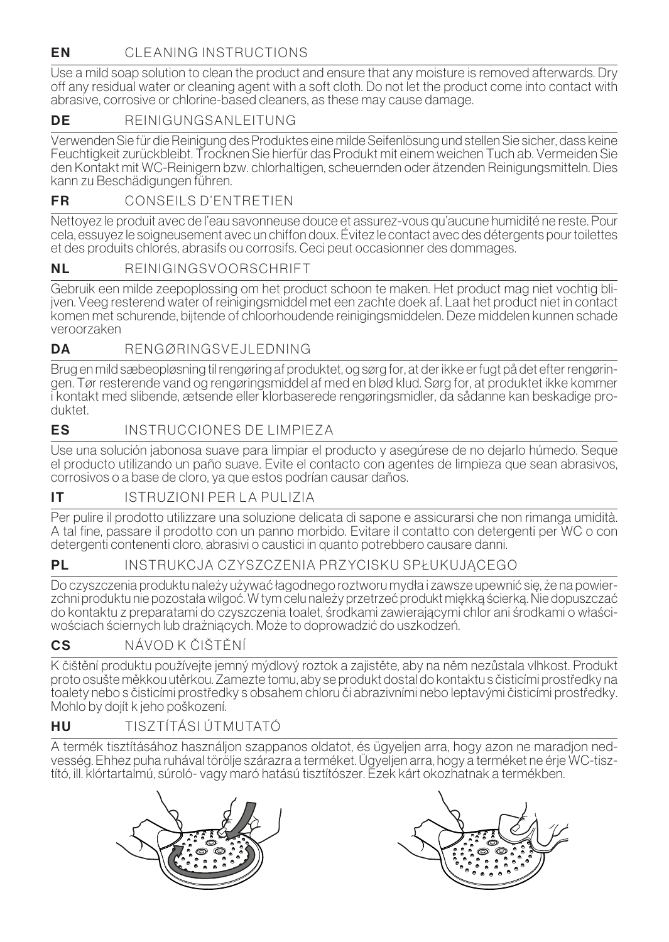# **EN** CLEANING INSTRUCTIONS

Use a mild soap solution to clean the product and ensure that any moisture is removed afterwards. Dry off any residual water or cleaning agent with a soft cloth. Do not let the product come into contact with abrasive, corrosive or chlorine-based cleaners, as these may cause damage.

# DE REINIGUNGSANLEITUNG

Verwenden Sie für die Reinigung des Produktes eine milde Seifenlösung und stellen Sie sicher, dass keine Feuchtigkeit zurückbleibt. Trocknen Sie hierfür das Produkt mit einem weichen Tuch ab. Vermeiden Sie den Kontakt mit WC-Reinigern bzw. chlorhaltigen, scheuernden oder ätzenden Reinigungsmitteln. Dies kann zu Beschädigungen führen.

# ER CONSEILS D'ENTRETIEN

Nettoyez le produit avec de l'eau savonneuse douce et assurez-vous qu'aucune humidité ne reste. Pour cela, essuyez le soigneusement avec un chiffon doux. Évitez le contact avec des détergents pour toilettes et des produits chlorés, abrasifs ou corrosifs. Ceci peut occasionner des dommages.

## NI REINIGINGSVOORSCHRIET

Gebruik een milde zeepoplossing om het product schoon te maken. Het product mag niet vochtig blijven. Veeg resterend water of reinigingsmiddel met een zachte doek af. Laat het product niet in contact komen met schurende, bijtende of chloorhoudende reinigingsmiddelen. Deze middelen kunnen schade veroorzaken

## DA RENGØRINGSVEJLEDNING

Brug en mild sæbeopløsning til rengøring af produktet, og sørg for, at der ikke er fugt på det efter rengøringen. Tør resterende vand og rengøringsmiddel af med en blød klud. Sørg for, at produktet ikke kommer i kontakt med slibende, ætsende eller klorbaserede rengøringsmidler, da sådanne kan beskadige produktet.

## **ES** INSTRUCCIONES DE LIMPIEZA

Use una solución jabonosa suave para limpiar el producto y asegúrese de no dejarlo húmedo. Seque el producto utilizando un paño suave. Evite el contacto con agentes de limpieza que sean abrasivos, corrosivos o a base de cloro, ya que estos podrían causar daños.

### IT **ISTRUZIONI PER LA PULIZIA**

Per pulire il prodotto utilizzare una soluzione delicata di sapone e assicurarsi che non rimanga umidità. A tal fine, passare il prodotto con un panno morbido. Evitare il contatto con detergenti per WC o con detergenti contenenti cloro, abrasivi o caustici in quanto potrebbero causare danni.

PL INSTRUKCJA CZYSZCZENIA PRZYCISKU SPŁUKUJACEGO

Do czyszczenia produktu należy używać łagodnego roztworu mydła i zawsze upewnić się, że na powier zchni produktu nie pozostała wilgoć. W tym celu należy przetrzeć produkt miękką ścierką. Nie dopuszczać do kontaktu z preparatami do czyszczenia toalet, środkami zawierającymi chlor ani środkami o właści- wościach ściernych lub drażniących. Może to doprowadzić do uszkodzeń.

## CS NÁVOD K ČIŠTĚNÍ

K čištění produktu používejte jemný mýdlový roztok a zajistěte, aby na něm nezůstala vlhkost. Produkt proto osušte měkkou utěrkou. Zamezte tomu, aby se produkt dostal do kontaktu s čisticími prostředky na toalety nebo s čisticími prostředky s obsahem chloru či abrazivními nebo leptavými čisticími prostředky. Mohlo by dojít k jeho poškození.

### HU TISZTÍTÁSI ÚTMUTATÓ

A termék tisztításához használjon szappanos oldatot, és ügyeljen arra, hogy azon ne maradjon nedvesség. Ehhez puha ruhával törölje szárazra a terméket. Ügyeljen arra, hogy a terméket ne érje WC-tisztító, ill. klórtartalmú, súroló- vagy maró hatású tisztítószer. Ezek kárt okozhatnak a termékben.